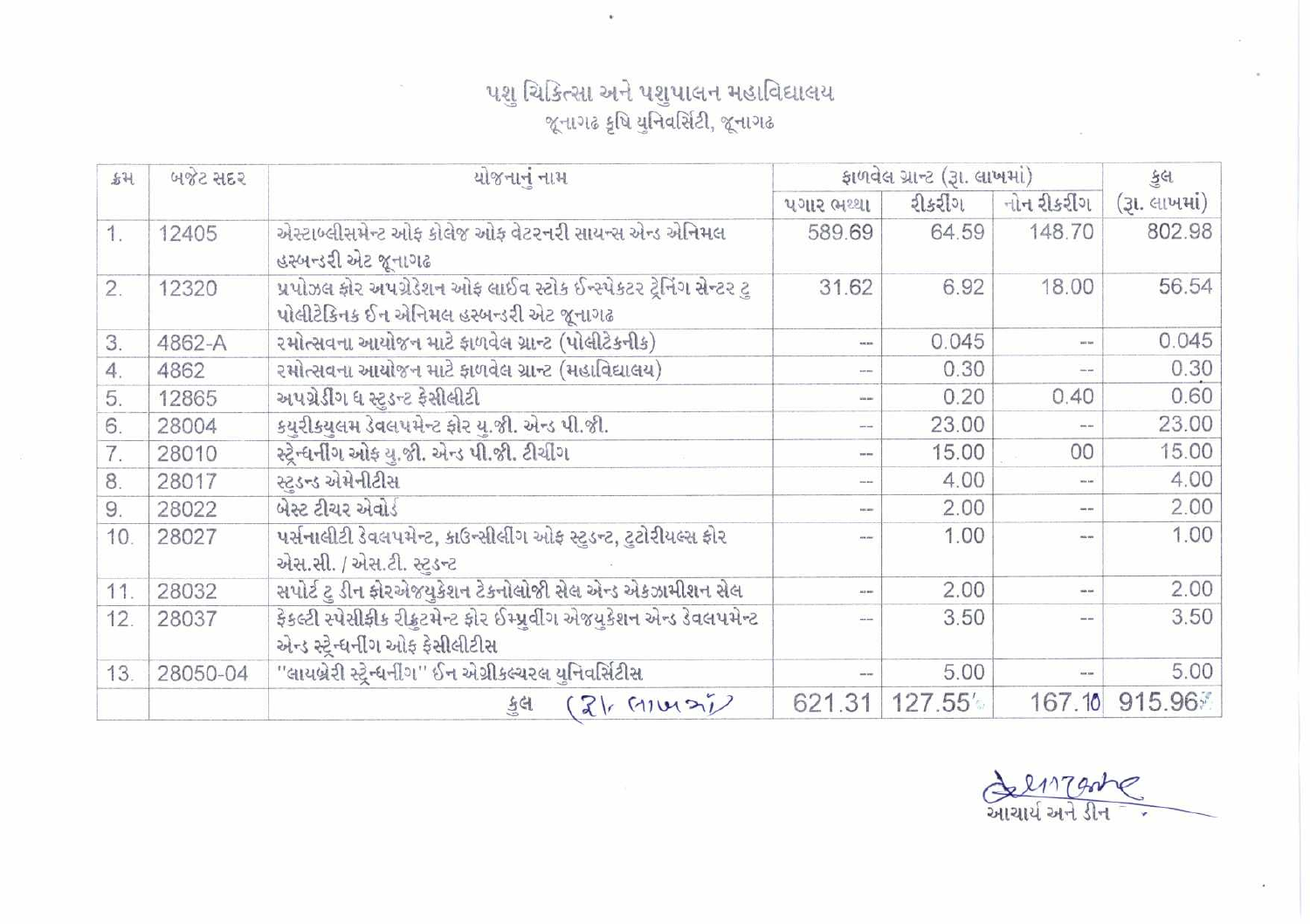## પશુ ચિકિત્સા અને પશુપાલન મહાવિદ્યાલય<br>જૂનાગઢ કૃષિ યુનિવર્સિટી, જૂનાગઢ

 $\bar{a}$ 

 $\sim$ 

| \$H\$ | બજેટ સદર | યોજનાનું નામ                                                                                                  | ફાળવેલ ગ્રાન્ટ (રૂા. લાખમાં) |         |                 | કલ            |
|-------|----------|---------------------------------------------------------------------------------------------------------------|------------------------------|---------|-----------------|---------------|
|       |          |                                                                                                               | પગાર ભથ્થા                   | રીકરીંગ | નોન રીકરીંગ     | (રૂા. લાખમાં) |
| 1.    | 12405    | એસ્ટાબ્લીસમેન્ટ ઓફ કોલેજ ઓફ વેટરનરી સાયન્સ એન્ડ એનિમલ<br>હસ્બન્ડરી એટ જૂનાગઢ                                  | 589.69                       | 64.59   | 148.70          | 802.98        |
| 2.    | 12320    | પ્રપોઝલ ફોર અપગ્રેડેશન ઓફ લાઈવ સ્ટોક ઈન્સ્પેકટર ટ્રેનિંગ સેન્ટર ટ્<br>પોલીટેકિનક ઈન એનિમલ હસ્બન્ડરી એટ જૂનાગઢ | 31.62                        | 6.92    | 18.00           | 56.54         |
| 3.    | 4862-A   | રમોત્સવના આયોજન માટે ફાળવેલ ગ્રાન્ટ (પોલીટેકનીક)                                                              |                              | 0.045   | <b>SALE RAN</b> | 0.045         |
| 4.    | 4862     | રમોત્સવના આયોજન માટે ફાળવેલ ગ્રાન્ટ (મહાવિદ્યાલય)                                                             | se en                        | 0.30    | $m_{\rm BH}$    | 0.30          |
| 5.    | 12865    | અપગ્રેડીંગ ધ સ્ટડન્ટ ફેસીલીટી                                                                                 |                              | 0.20    | 0.40            | 0.60          |
| 6.    | 28004    | કયરીકયલમ ડેવલપમેન્ટ ફોર ય.જી. એન્ડ પી.જી.                                                                     | $\frac{1}{2}$                | 23.00   | --              | 23.00         |
| 7.    | 28010    | સ્ટ્રેન્ધનીંગ ઓફ યુ.જી. એન્ડ પી.જી. ટીચીંગ                                                                    | pay you                      | 15.00   | 00              | 15.00         |
| 8.    | 28017    | સ્ટડન્ડ એમેનીટીસ                                                                                              | <b>Installation</b>          | 4.00    | <b>Box And</b>  | 4.00          |
| 9.    | 28022    | બેસ્ટ ટીચર એવોર્ડ                                                                                             |                              | 2.00    | --              | 2.00          |
| 10.   | 28027    | પર્સનાલીટી ડેવલપમેન્ટ, કાઉન્સીલીંગ ઓફ સ્ટડન્ટ, ટુટોરીયલ્સ ફોર<br>એસ.સી. / એસ.ટી. સ્ટડન્ટ                      |                              | 1.00    |                 | 1.00          |
| 11.   | 28032    | સપોર્ટ ટ ડીન ફોરએજયકેશન ટેકનોલોજી સેલ એન્ડ એકઝામીશન સેલ                                                       |                              | 2.00    | --              | 2.00          |
| 12.   | 28037    | ફેકલ્ટી સ્પેસીફીક રીફ્રુટમેન્ટ ફોર ઈમ્પ્રવીંગ એજયુકેશન એન્ડ ડેવલપમેન્ટ<br>એન્ડ સ્ટ્રેન્ધર્નીંગ ઓફ ફેસીલીટીસ   |                              | 3.50    |                 | 3.50          |
| 13.   | 28050-04 | ''લાયબ્રેરી સ્ટ્રેન્ધનીંગ'' ઈન એગ્રીકલ્ચરલ યનિવર્સિટીસ                                                        |                              | 5.00    |                 | 5.00          |
|       |          | $(2)$ (11421)<br>કુલ                                                                                          | 621.31                       | 127.55  | 167.10          | 915.96        |

<u>रेश्यापुरमेट</u>

 $\sim$